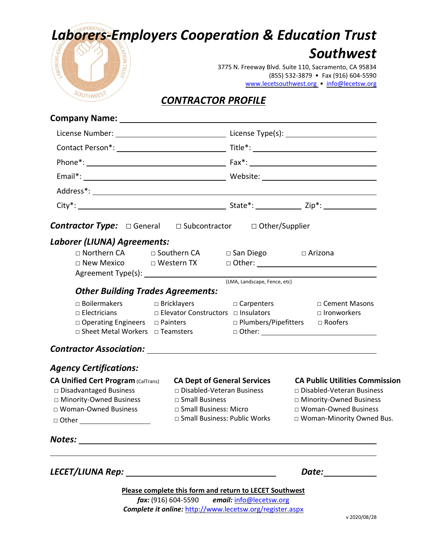# *Laborers-Employers Cooperation & Education Trust*



## *Southwest*

3775 N. Freeway Blvd. Suite 110, Sacramento, CA 95834 (855) 532-3879 • Fax (916) 604-5590 [www.lecetsouthwest.org](http://www.lecetsouthwest.org/) • [info@lecetsw.org](mailto:info@lecetsw.org) 

## *CONTRACTOR PROFILE*

| <b>Contractor Type:</b> □ General □ Subcontractor □ Other/Supplier                                                                                                                 |                                                                                                                                                                    |                                                  |                                                                                                                                                            |  |
|------------------------------------------------------------------------------------------------------------------------------------------------------------------------------------|--------------------------------------------------------------------------------------------------------------------------------------------------------------------|--------------------------------------------------|------------------------------------------------------------------------------------------------------------------------------------------------------------|--|
| Laborer (LIUNA) Agreements:                                                                                                                                                        |                                                                                                                                                                    |                                                  |                                                                                                                                                            |  |
| □ Northern CA<br>□ New Mexico    □ Western TX                                                                                                                                      | □ Southern CA                                                                                                                                                      | $\Box$ San Diego                                 | □ Arizona                                                                                                                                                  |  |
| (LMA, Landscape, Fence, etc)                                                                                                                                                       |                                                                                                                                                                    |                                                  |                                                                                                                                                            |  |
| <b>Other Building Trades Agreements:</b><br>$\Box$ Boilermakers $\Box$ Bricklayers<br>$\Box$ Electricians<br>□ Operating Engineers □ Painters<br>□ Sheet Metal Workers □ Teamsters |                                                                                                                                                                    | □ Carpenters<br>□ Plumbers/Pipefitters □ Roofers | □ Cement Masons<br>□ Elevator Constructors □ Insulators □ □ Ironworkers                                                                                    |  |
|                                                                                                                                                                                    |                                                                                                                                                                    |                                                  |                                                                                                                                                            |  |
| <b>Agency Certifications:</b>                                                                                                                                                      |                                                                                                                                                                    |                                                  |                                                                                                                                                            |  |
| <b>CA Unified Cert Program (CalTrans)</b><br>□ Disadvantaged Business<br>□ Minority-Owned Business<br>□ Woman-Owned Business                                                       | <b>CA Dept of General Services</b><br>□ Disabled-Veteran Business<br>□ Small Business<br>□ Small Business: Micro<br>□ Small Business: Public Works                 |                                                  | <b>CA Public Utilities Commission</b><br>□ Disabled-Veteran Business<br>□ Minority-Owned Business<br>□ Woman-Owned Business<br>□ Woman-Minority Owned Bus. |  |
|                                                                                                                                                                                    |                                                                                                                                                                    |                                                  |                                                                                                                                                            |  |
|                                                                                                                                                                                    |                                                                                                                                                                    |                                                  | Date: __________                                                                                                                                           |  |
|                                                                                                                                                                                    | Please complete this form and return to LECET Southwest<br>fax: (916) 604-5590 email: info@lecetsw.org<br>Complete it online: http://www.lecetsw.org/register.aspx |                                                  |                                                                                                                                                            |  |

v 2020/08/28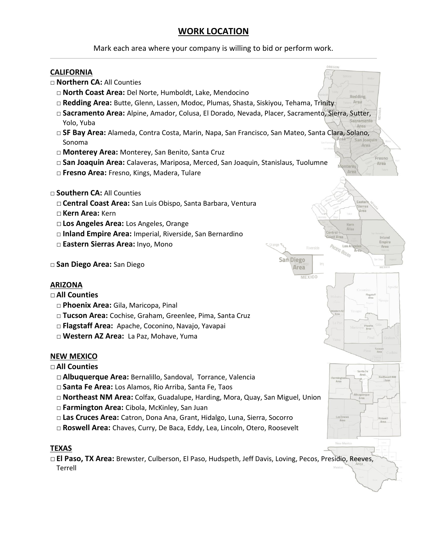## **WORK LOCATION**

Mark each area where your company is willing to bid or perform work.

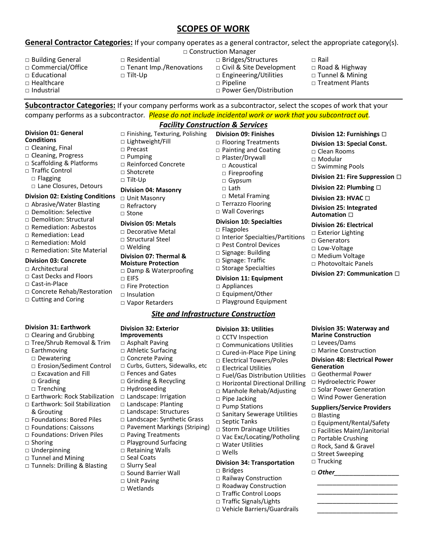## **SCOPES OF WORK**

### **General Contractor Categories:** If your company operates as a general contractor, select the appropriate category(s).

- □ Building General □ Commercial/Office □ Educational  $\Box$  Healthcare  $\Box$  Industrial
- □ Construction Manager  $\Box$  Residential □ Tenant Imp./Renovations
- □ Tilt-Up
- □ Bridges/Structures

**Division 09: Finishes** □ Flooring Treatments □ Painting and Coating □ Plaster/Drywall □ Acoustical □ Fireproofing □ Gypsum  $\Box$  Lath

□ Metal Framing □ Terrazzo Flooring □ Wall Coverings **Division 10: Specialties**

□ Pest Control Devices □ Signage: Building □ Signage: Traffic □ Storage Specialties **Division 11: Equipment**

□ Interior Specialties/Partitions

□ Flagpoles

□ Appliances □ Equipment/Other □ Playground Equipment

- □ Civil & Site Development
- □ Engineering/Utilities

□ Power Gen/Distribution

□ Pipeline

- □ Road & Highway □ Tunnel & Mining
- □ Treatment Plants

□ Rail

**Subcontractor Categories:** If your company performs work as a subcontractor, select the scopes of work that your company performs as a subcontractor*. Please do not include incidental work or work that you subcontract out.*

*Facility Construction & Services*

#### **Division 01: General Conditions**

- □ Cleaning, Final
- □ Cleaning, Progress
- □ Scaffolding & Platforms
- □ Traffic Control □ Flagging □ Lane Closures, Detours

#### **Division 02: Existing Conditions**

- □ Abrasive/Water Blasting
- □ Demolition: Selective
- □ Demolition: Structural
- □ Remediation: Asbestos
- □ Remediation: Lead
- □ Remediation: Mold
- □ Remediation: Site Material

#### **Division 03: Concrete**

- □ Architectural
- □ Cast Decks and Floors
- □ Cast-in-Place
- □ Concrete Rehab/Restoration
- □ Cutting and Coring

#### **Division 31: Earthwork**

- □ Clearing and Grubbing
- □ Tree/Shrub Removal & Trim
- □ Earthmoving
- □ Dewatering
- □ Erosion/Sediment Control
- □ Excavation and Fill
- □ Grading
- □ Trenching
- □ Earthwork: Rock Stabilization
- □ Earthwork: Soil Stabilization & Grouting
- □ Foundations: Bored Piles
- □ Foundations: Caissons
- □ Foundations: Driven Piles
- □ Shoring
- □ Underpinning
- □ Tunnel and Mining
- □ Tunnels: Drilling & Blasting
- □ Finishing, Texturing, Polishing □ Lightweight/Fill
- □ Precast □ Pumping
- □ Reinforced Concrete
- □ Shotcrete
- □ Tilt-Up

#### **Division 04: Masonry**

- □ Unit Masonry □ Refractory
- $\Box$  Stone
- **Division 05: Metals**
- □ Decorative Metal
- □ Structural Steel
- □ Welding

#### **Division 07: Thermal &**

- **Moisture Protection**
- □ Damp & Waterproofing
- $\neg$  FIFS
- □ Fire Protection
- □ Insulation
- □ Vapor Retarders

**Division 32: Exterior Improvements** □ Asphalt Paving □ Athletic Surfacing □ Concrete Paving

□ Fences and Gates □ Grinding & Recycling □ Hydroseeding □ Landscape: Irrigation □ Landscape: Planting □ Landscape: Structures □ Landscape: Synthetic Grass □ Pavement Markings (Striping)

□ Paving Treatments □ Playground Surfacing □ Retaining Walls □ Seal Coats □ Slurry Seal

□ Sound Barrier Wall □ Unit Paving □ Wetlands

□ Curbs, Gutters, Sidewalks, etc

### *Site and Infrastructure Construction*

#### **Division 33: Utilities**

- □ CCTV Inspection
- □ Communications Utilities
- □ Cured-in-Place Pipe Lining
- □ Electrical Towers/Poles
- □ Electrical Utilities
- □ Fuel/Gas Distribution Utilities
- □ Horizontal Directional Drilling
- □ Manhole Rehab/Adjusting
- □ Pipe Jacking
- □ Pump Stations
- □ Sanitary Sewerage Utilities
- □ Septic Tanks
- □ Storm Drainage Utilities
- □ Vac Exc/Locating/Potholing
- □ Water Utilities
- □ Wells

#### **Division 34: Transportation** □ Bridges

- 
- □ Railway Construction □ Roadway Construction
- □ Traffic Control Loops
- □ Traffic Signals/Lights
- □ Vehicle Barriers/Guardrails

#### **Division 12: Furnishings** •

**Division 13: Special Const.** □ Clean Rooms □ Modular □ Swimming Pools

**Division 21: Fire Suppression** •

**Division 27: Communication** •

**Division 35: Waterway and Marine Construction** □ Levees/Dams □ Marine Construction **Division 48: Electrical Power** 

□ Equipment/Rental/Safety □ Facilities Maint/Janitorial □ Portable Crushing □ Rock, Sand & Gravel □ Street Sweeping □ Trucking □ *Other\_\_\_\_\_\_\_\_\_\_\_\_\_\_\_\_\_*

*\_\_\_\_\_\_\_\_\_\_\_\_\_\_\_\_\_\_\_\_\_ \_\_\_\_\_\_\_\_\_\_\_\_\_\_\_\_\_\_\_\_\_ \_\_\_\_\_\_\_\_\_\_\_\_\_\_\_\_\_\_\_\_\_ \_\_\_\_\_\_\_\_\_\_\_\_\_\_\_\_\_\_\_\_\_*

**Division 22: Plumbing** •

**Division 23: HVAC** •

**Division 25: Integrated Automation** •

- **Division 26: Electrical**
- □ Exterior Lighting □ Generators

□ Low-Voltage □ Medium Voltage □ Photovoltaic Panels

**Generation**

□ Blasting

□ Geothermal Power □ Hydroelectric Power □ Solar Power Generation □ Wind Power Generation **Suppliers/Service Providers**